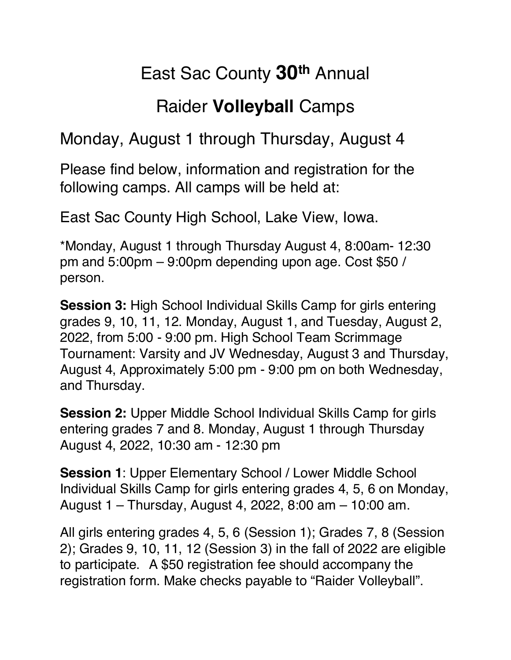## East Sac County **30th** Annual

## Raider **Volleyball** Camps

Monday, August 1 through Thursday, August 4

Please find below, information and registration for the following camps. All camps will be held at:

East Sac County High School, Lake View, Iowa.

\*Monday, August 1 through Thursday August 4, 8:00am- 12:30 pm and 5:00pm – 9:00pm depending upon age. Cost \$50 / person.

**Session 3:** High School Individual Skills Camp for girls entering grades 9, 10, 11, 12. Monday, August 1, and Tuesday, August 2, 2022, from 5:00 - 9:00 pm. High School Team Scrimmage Tournament: Varsity and JV Wednesday, August 3 and Thursday, August 4, Approximately 5:00 pm - 9:00 pm on both Wednesday, and Thursday.

**Session 2:** Upper Middle School Individual Skills Camp for girls entering grades 7 and 8. Monday, August 1 through Thursday August 4, 2022, 10:30 am - 12:30 pm

**Session 1**: Upper Elementary School / Lower Middle School Individual Skills Camp for girls entering grades 4, 5, 6 on Monday, August 1 – Thursday, August 4, 2022, 8:00 am – 10:00 am.

All girls entering grades 4, 5, 6 (Session 1); Grades 7, 8 (Session 2); Grades 9, 10, 11, 12 (Session 3) in the fall of 2022 are eligible to participate. A \$50 registration fee should accompany the registration form. Make checks payable to "Raider Volleyball".